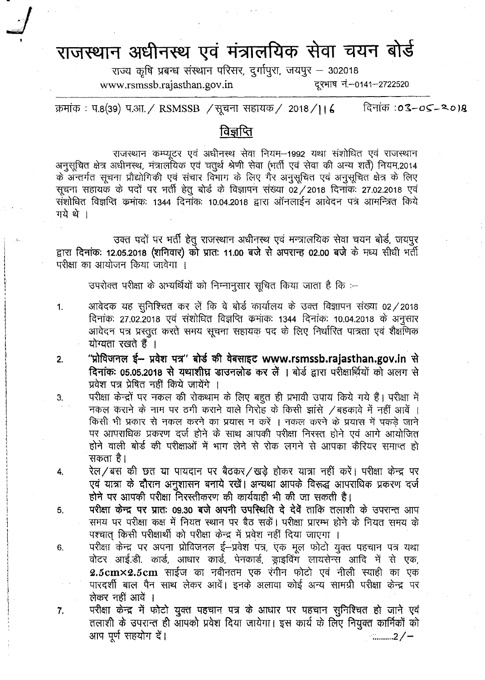## राजस्थान अधीनस्थ एवं मंत्रालयिक सेवा चयन बोर्ड

राज्य कृषि प्रबन्ध संस्थान परिसर, दुर्गापुरा, जयपुर - 302018 [www.rsmssb.rajasthan.gov.in](http://www.rsmssb.rajasthan.gov.in) दूरभाष नं.-0141-2722520

क्रमांक: प.8(39) प.आ. / RSMSSB / सूचना सहायक/ 2018/116 दिनांक :**03–05–2018** 

## <u>विज्ञप्ति</u>

राजस्थान कम्प्यूटर एवं अधीनस्थ सेवा नियम-1992 यथा संशोधित एवं राजस्थान अनुसूचित क्षेत्र अधीनस्थ, मंत्रालयिक एवं चतुर्थ श्रेणी सेवा (भर्ती एवं सेवा की अन्य शर्ते) नियम,2014 के अन्तर्गत सूचना प्रौद्योगिकी एवं संचार विभाग के लिए गैर अनुसूचित एवं अनुसूचित क्षेत्र के लिए सूचना सहायक के पदों पर भर्ती हेतू बोर्ड के विज्ञापन संख्या 02 / 2018 दिनांक: 27.02.2018 एवं .<br>संशोधित विज्ञप्ति कमाक: 1344 दिनांक: 10.04.2018 द्वारा ऑनलाईन आवेदन पत्र आमन्त्रित किये गये थे ।

उक्त पदों पर भर्ती हेतु राजस्थान अधीनस्थ एवं मन्त्रालयिक सेवा चयन बोर्ड, जयपुर द्वारा दिनांक: 12.05.2018 (शनिवार) को प्रात: 11.00 बजे से अपरान्ह 02.00 बजे के मध्य सीधी भर्ती परीक्षा का आयोजन किया जावेगा ।

उपरोक्त परीक्षा के अभ्यर्थियों को निम्नानुसार सूचित किया जाता है कि :-

- 1. अावेदक यह सुनिश्चित कर लें कि वे बोर्ड कार्यालय के उक्त विज्ञापन संख्या 02/2018 दिनांकः 27.02.2018 एवं संशोधित विज्ञप्ति कमांकः 1344 दिनांकः 10.04.2018 के अनुसार आवेदन पत्र प्रस्तुत करते समय सूचना सहायक पद के लिए निर्धारित पात्रता एवं शैक्षणिक योग्यता रखते हैं ।
- "प्रोविजनल ई- प्रवेश पत्र" बोर्ड की वेबसाइट www.rsmssb.rajasthan.gov.in से दिनांकः 05.05.2018 से यथाशीघ्र डाउनलोड कर लें । बोर्ड द्वारा परीक्षार्थियों को अलग से प्रवेश पत्र प्रेषित नहीं किये जायेंगे । 2.

1

I

I I 4. I •I •

5.

6.

7.

- परीक्षा केन्द्रों पर नकल की रोकथाम के लिए बहुत ही प्रभावी उपाय किये गये हैं। परीक्षा में  $-$  नकल कराने के नाम पर ठगी कराने वाले गिरोह के किसी झांसे /बहकावे में नहीं आवें । किसी भी प्रकार से नकल करने का प्रयास न करें । नकल करने के प्रयास में पकड़े जाने पर आपराधिक प्रकरण दर्ज होने के साथ आपकी परीक्षा निरस्त होने एवं आगे आयोजित होने वाली बोर्ड की परीक्षाओं में भाग लेने से रोक लगने से आपका कैरियर समाप्त हो सकता है। 3.
- रेल/बस की छत या पायदान पर बैठकर/खड़े होकर यात्रा नहीं करें। परीक्षा केन्द्र पर एवं यात्रा के दौरान अनुशासन बनाये रखें। अन्यथा आपके विरूद्ध आपराधिक प्रकरण दर्ज होने पर आपकी परीक्षा निरस्तीकरण की कार्यवाही भी की जा सकती है। 4.
	- परीक्षा केन्द्र पर प्रातः 09.30 बजे अपनी उपस्थिति दे देवें ताकि तलाशी के उपरान्त आप समय पर परीक्षा कक्ष में नियत स्थान पर बैठ सकें। परीक्षा प्रारम्भ होने के नियत समय के पश्चात किसी परीक्षार्थी को परीक्षा केन्द्र में प्रवेश नहीं दिया जाएगा ।
	- परीक्षा केन्द्र पर अपना प्रोविजनल ई-प्रवेश पत्र, एक मूल फोटो युक्त पहचान पत्र यथा वोटर आई.डी. कार्ड, आधार कार्ड, पेनकार्ड, ड्राइविंग लायसेन्स आदि में से एक,  $2.5 \text{cm} \times 2.5 \text{cm}$  साईज का नवीनतम एक रंगीन फोटो एवं नीली स्याही का एक पारदर्शी बाल पैन साथ लेकर आवें। इनके अलावा कोई अन्य सामग्री परीक्षा केन्द्र पर लेकर नहीं आवें ।
	- परीक्षा केन्द्र में फोटो युक्त पहचान पत्र के आधार पर पहचान सुनिश्चित हो जाने एवं तलाशी के उपरान्त ही आपको प्रवेश दिया जायेगा। इस कार्य के लिए नियुक्त कार्मिकों को आप पूर्ण सहयोग दें।  $3/$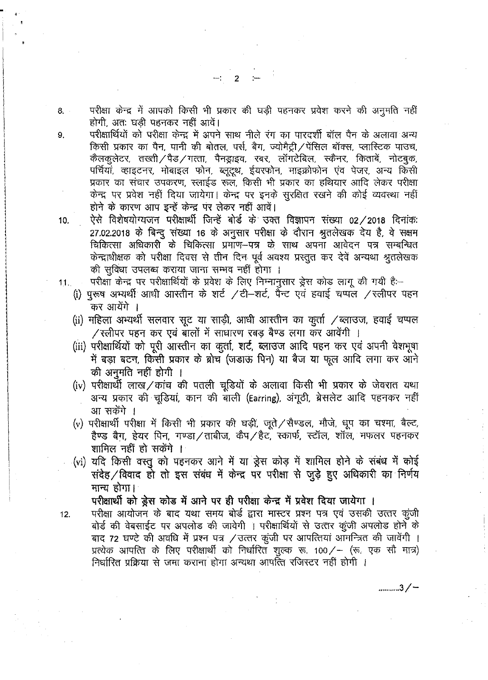परीक्षा केन्द्र में आपको किसी भी प्रकार की घड़ी पहनकर प्रवेश करने की अनुमति नहीं  $8<sub>1</sub>$ होगी. अतः घडी पहनकर नहीं आवें।

परीक्षार्थियों को परीक्षा केन्द्र में अपने साथ नीले रंग का पारदर्शी बॉल पैन के अलावा अन्य किसी प्रकार का पैन, पानी की बोतल, पर्स, बैग, ज्योमैट्री / पेंसिल बॉक्स, प्लास्टिक पाउच, कैलकुलेटर, तख्ती/पैड/गत्ता, पैनड्राइव, रबर, लॉगटेबिल, स्कैनर, किताबें, नोटबुक, पर्चियां, व्हाइटनर, मोबाइल फोन, ब्लूटूथ, ईयरफोन, माइक्रोफोन एंव पेजर, अन्य किसी प्रकार का संचार उपकरण, स्लाईड रूल, किसी भी प्रकार का हथियार आदि लेकर परीक्षा केन्द्र पर प्रवेश नहीं दिया जायेगा। केन्द्र पर इनके सुरक्षित रखने की कोई व्यवस्था नहीं होने के कारण आप इन्हें केन्द्र पर लेकर नहीं आवें।

ऐसे विशेषयोग्यजन परीक्षार्थी जिन्हें बोर्ड के उक्त विज्ञापन संख्या 02/2018 दिनांकः  $10.$ 27.02.2018 के बिन्दू संख्या 16 के अनुसार परीक्षा के दौरान श्रुतलेखक देय है, वे सक्षम चिकित्सा अधिकारी के चिकित्सा प्रमाण-पत्र के साथ अपना आवेदन पत्र सम्बन्धित केन्द्राधीक्षक को परीक्षा दिवस से तीन दिन पूर्व अवश्य प्रस्तुत कर देवें अन्यथा श्रुतलेखक की सुविधा उपलब्ध कराया जाना सम्भव नहीं होगा ।

- परीक्षा केन्द्र पर परीक्षार्थियों के प्रवेश के लिए निम्नानुसार ड्रेस कोड लागू की गयी है:--
- (i) पुरूष अभ्यर्थी आधी आस्तीन के शर्ट /टी-शर्ट, पैन्ट एवं हवाई चप्पल /स्लीपर पहन कर आयेंगे ।
- (ii) महिला अभ्यर्थी सलवार सूट या साड़ी, आधी आस्तीन का कुर्ता / ब्लाउज, हवाई चप्पल /रलीपर पहन कर एवं बालों में साधारण रबड़ बैण्ड लगा कर आवेंगी ।
- (iii) परीक्षार्थियों को पूरी आस्तीन का कुर्ता, शर्ट, ब्लाउज आदि पहन कर एवं अपनी वेशभूषा में बड़ा बटन, किसी प्रकार के ब्रोच (जड़ाऊ पिन) या बैज या फूल आदि लगा कर आने की अनुमति नहीं होगी ।
- (iv) परीक्षार्थी लाख/कांच की पतली चूडियों के अलावा किसी भी प्रकार के जेवरात यथा अन्य प्रकार की चूडियां, कान की बाली (Earring), अंगूठी, ब्रेसलेट आदि पहनकर नहीं आ सकेंगे ।
- (v) परीक्षार्थी परीक्षा में किसी भी प्रकार की घड़ी, जूते / सैण्डल, मौजे, धूप का चश्मा, बैल्ट, हैण्ड बैग, हेयर पिन, गण्डा/ताबीज, कैप/हैट, स्कार्फ, स्टॉल, शॉल, मफलर पहनकर शामिल नहीं हो सकेंगे ।
- (vi) यदि किसी वस्तु को पहनकर आने में या ड्रेस कोड़ में शामिल होने के संबंध में कोई संदेह / विवाद हो तो इस संबंध में केन्द्र पर परीक्षा से जुड़े हुए अधिकारी का निर्णय मान्य होगा।

परीक्षार्थी को ड्रेस कोड में आने पर ही परीक्षा केन्द्र में प्रवेश दिया जायेगा ।

परीक्षा आयोजन के बाद यथा समय बोर्ड द्वारा मास्टर प्रश्न पत्र एवं उसकी उत्तर कुंजी बोर्ड की वेबसाईट पर अपलोड की जावेगी । परीक्षार्थियों से उत्तर कूंजी अपलोड होने के बाद 72 घण्टे की अवधि में प्रश्न पत्र / उत्तर कूंजी पर आपत्तियां आमन्त्रित की जावेंगी । प्रत्येक आपत्ति के लिए परीक्षार्थी को निर्धारित शुल्क रू. 100/– (रू. एक सौ मात्र) निर्धारित प्रक्रिया से जमा कराना होगा अन्यथा आपत्ति रजिस्टर नहीं होगी ।

...........3/-

 $11.$ 

 $12.$ 

9.